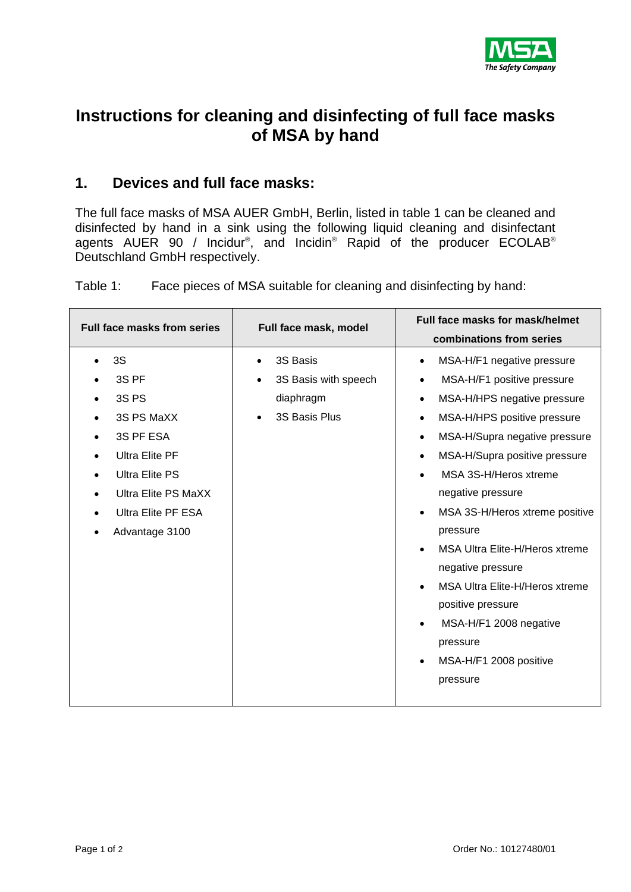

## **Instructions for cleaning and disinfecting of full face masks of MSA by hand**

## **1. Devices and full face masks:**

The full face masks of MSA AUER GmbH, Berlin, listed in table 1 can be cleaned and disinfected by hand in a sink using the following liquid cleaning and disinfectant agents AUER 90 / Incidur®, and Incidin® Rapid of the producer ECOLAB® Deutschland GmbH respectively.

Table 1: Face pieces of MSA suitable for cleaning and disinfecting by hand:

| Full face masks from series | Full face mask, model | Full face masks for mask/helmet             |  |  |
|-----------------------------|-----------------------|---------------------------------------------|--|--|
|                             |                       | combinations from series                    |  |  |
| 3S                          | 3S Basis              | MSA-H/F1 negative pressure<br>$\bullet$     |  |  |
| 3S PF                       | 3S Basis with speech  | MSA-H/F1 positive pressure<br>$\bullet$     |  |  |
| 3S <sub>PS</sub>            | diaphragm             | MSA-H/HPS negative pressure<br>$\bullet$    |  |  |
| 3S PS MaXX                  | 3S Basis Plus         | MSA-H/HPS positive pressure<br>$\bullet$    |  |  |
| 3S PF ESA                   |                       | MSA-H/Supra negative pressure<br>$\bullet$  |  |  |
| <b>Ultra Elite PF</b>       |                       | MSA-H/Supra positive pressure<br>$\bullet$  |  |  |
| <b>Ultra Elite PS</b>       |                       | MSA 3S-H/Heros xtreme<br>$\bullet$          |  |  |
| <b>Ultra Elite PS MaXX</b>  |                       | negative pressure                           |  |  |
| <b>Ultra Elite PF ESA</b>   |                       | MSA 3S-H/Heros xtreme positive<br>$\bullet$ |  |  |
| Advantage 3100              |                       | pressure                                    |  |  |
|                             |                       | MSA Ultra Elite-H/Heros xtreme              |  |  |
|                             |                       | negative pressure                           |  |  |
|                             |                       | MSA Ultra Elite-H/Heros xtreme<br>$\bullet$ |  |  |
|                             |                       | positive pressure                           |  |  |
|                             |                       | MSA-H/F1 2008 negative                      |  |  |
|                             |                       | pressure                                    |  |  |
|                             |                       | MSA-H/F1 2008 positive<br>$\bullet$         |  |  |
|                             |                       | pressure                                    |  |  |
|                             |                       |                                             |  |  |